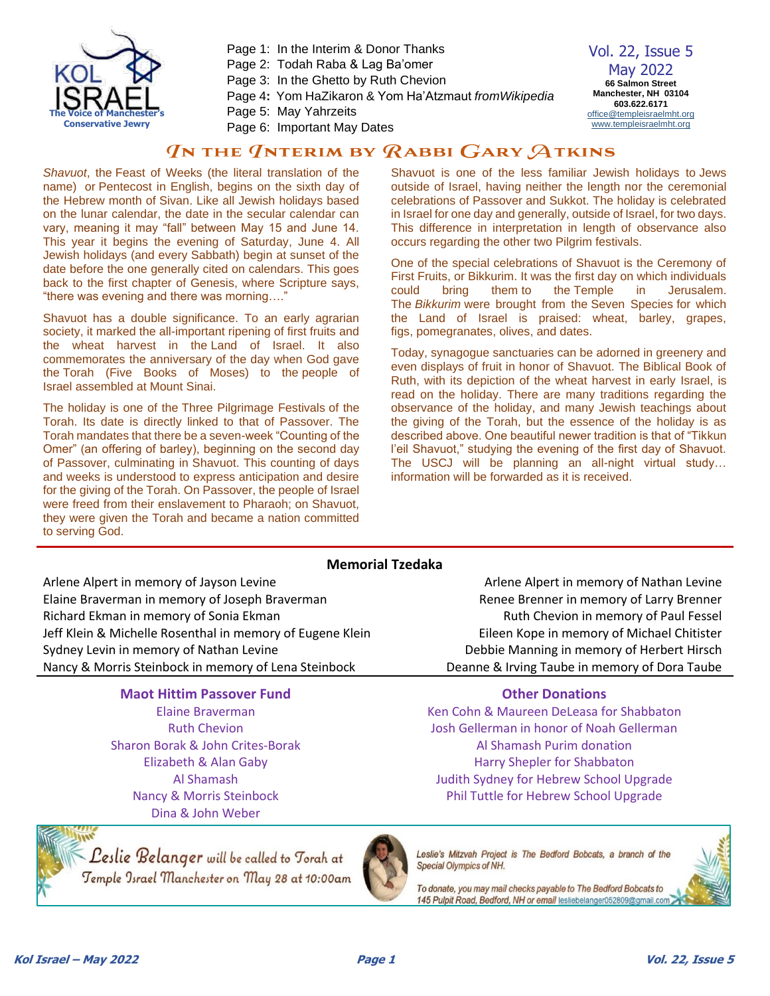

Page 1: In the Interim & Donor Thanks Page 2: Todah Raba & Lag Ba'omer Page 3: In the Ghetto by Ruth Chevion Page 4**:** Yom HaZikaron & Yom Ha'Atzmaut *fromWikipedia* Page 5: May Yahrzeits

Page 6: Important May Dates

Vol. 22, Issue 5 May 2022 **66 Salmon Street Manchester, NH 03104 603.622.6171** [office@templeisraelmht.org](mailto:office@templeisraelmht.org) [www.templeisraelmht.org](http://www.templeisraelmht.org/)

# $q$ n the  $q$ nterim by  $\emph{R}$ abbi  $\emph{G}$ ary  $\emph{A}$ tkins

*Shavuot*, the Feast of Weeks (the literal translation of the name) or [Pentecost](https://en.wikipedia.org/wiki/Pentecost) in English, begins on the sixth day of the Hebrew month of [Sivan.](https://en.wikipedia.org/wiki/Sivan) Like all Jewish holidays based on the lunar calendar, the date in the secular calendar can vary, meaning it may "fall" between May 15 and June 14. This year it begins the evening of Saturday, June 4. All Jewish holidays (and every Sabbath) begin at sunset of the date before the one generally cited on calendars. This goes back to the first chapter of Genesis, where Scripture says, "there was evening and there was morning…."

Shavuot has a double significance. To an early agrarian society, it marked the all-important ripening of first fruits and the wheat harvest in the [Land of Israel.](https://en.wikipedia.org/wiki/Land_of_Israel) It also commemorates the anniversary of the day when God gave the [Torah](https://en.wikipedia.org/wiki/Torah) (Five Books of Moses) to the people of Israel assembled at Mount Sinai.

The holiday is one of the [Three Pilgrimage Festivals](https://en.wikipedia.org/wiki/Three_Pilgrimage_Festivals) of the Torah. Its date is directly linked to that of Passover. The Torah mandates that there be a seven-week "Counting of the Omer" (an offering of barley), beginning on the second day of Passover, culminating in Shavuot. This counting of days and weeks is understood to express anticipation and desire for the giving of the Torah. On Passover, the people of Israel were freed from their enslavement to Pharaoh; on Shavuot, they were given the Torah and became a nation committed to serving God.

Shavuot is one of the less familiar Jewish holidays to [Jews](https://en.wikipedia.org/wiki/Jewish_diaspora)  [outside of Israel,](https://en.wikipedia.org/wiki/Jewish_diaspora) having neither the length nor the ceremonial celebrations of Passover and Sukkot. The holiday is celebrated in Israel for one day and generally, outside of Israel, for two days. This difference in interpretation in length of observance also occurs regarding the other two Pilgrim festivals.

One of the special celebrations of Shavuot is the Ceremony of First Fruits, or Bikkurim. It was the first day on which individuals could bring them to the [Temple in Jerusalem.](https://en.wikipedia.org/wiki/Temple_in_Jerusalem) The *Bikkurim* were brought from the [Seven Species](https://en.wikipedia.org/wiki/Seven_Species) for which the Land of Israel is praised: wheat, barley, grapes, figs, [pomegranates,](https://en.wikipedia.org/wiki/Pomegranate) [olives,](https://en.wikipedia.org/wiki/Olive) and [dates.](https://en.wikipedia.org/wiki/Date_palm)

Today, synagogue sanctuaries can be adorned in greenery and even displays of fruit in honor of Shavuot. The Biblical Book of Ruth, with its depiction of the wheat harvest in early Israel, is read on the holiday. There are many traditions regarding the observance of the holiday, and many Jewish teachings about the giving of the Torah, but the essence of the holiday is as described above. One beautiful newer tradition is that of "Tikkun l'eil Shavuot," studying the evening of the first day of Shavuot. The USCJ will be planning an all-night virtual study… information will be forwarded as it is received.

## **Memorial Tzedaka**

Arlene Alpert in memory of Jayson Levine Arlene Alpert in memory of Nathan Levine Elaine Braverman in memory of Joseph Braverman Renee Brenner in memory of Larry Brenner Richard Ekman in memory of Sonia Ekman Ruth Chevion in memory of Paul Fessel Jeff Klein & Michelle Rosenthal in memory of Eugene Klein Eileen Kope in memory of Michael Chitister Sydney Levin in memory of Nathan Levine **Debbie Manning in memory of Herbert Hirsch** Nancy & Morris Steinbock in memory of Lena Steinbock Deanne & Irving Taube in memory of Dora Taube

## **Maot Hittim Passover Fund Constructions Other Donations**

Elaine Braverman Ruth Chevion Sharon Borak & John Crites-Borak Elizabeth & Alan Gaby Al Shamash Nancy & Morris Steinbock Dina & John Weber

Leslie Belanger will be called to Torah at Temple Israel Manchester on May 28 at 10:00am



Leslie's Mitzvah Project is The Bedford Bobcats, a branch of the Special Olympics of NH.

Ken Cohn & Maureen DeLeasa for Shabbaton Josh Gellerman in honor of Noah Gellerman Al Shamash Purim donation Harry Shepler for Shabbaton Judith Sydney for Hebrew School Upgrade Phil Tuttle for Hebrew School Upgrade

To donate, you may mail checks payable to The Bedford Bobcats to 145 Pulpit Road, Bedford, NH or email lesliebelanger052809@gmail.com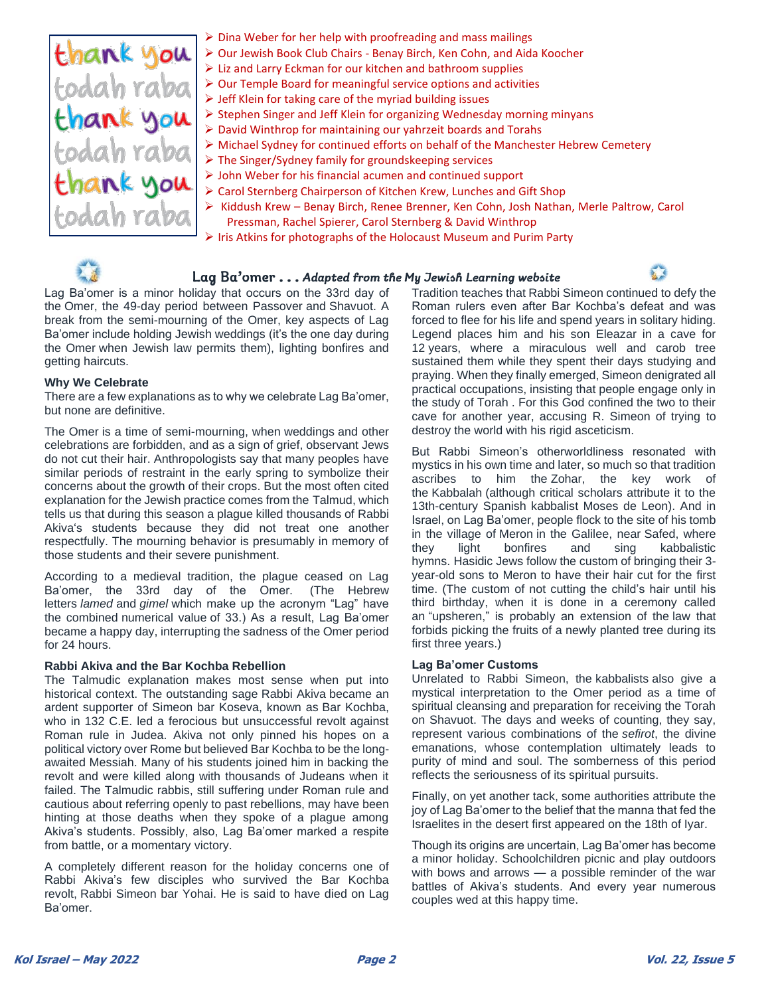

- ➢ Dina Weber for her help with proofreading and mass mailings
- ➢ Our Jewish Book Club Chairs Benay Birch, Ken Cohn, and Aida Koocher
	- ➢ Liz and Larry Eckman for our kitchen and bathroom supplies
- ➢ Our Temple Board for meaningful service options and activities
- $\triangleright$  Jeff Klein for taking care of the myriad building issues
- ➢ Stephen Singer and Jeff Klein for organizing Wednesday morning minyans
- ➢ David Winthrop for maintaining our yahrzeit boards and Torahs
- ➢ Michael Sydney for continued efforts on behalf of the Manchester Hebrew Cemetery
- ➢ The Singer/Sydney family for groundskeeping services
- ➢ John Weber for his financial acumen and continued support
- ➢ Carol Sternberg Chairperson of Kitchen Krew, Lunches and Gift Shop
- ➢ Kiddush Krew Benay Birch, Renee Brenner, Ken Cohn, Josh Nathan, Merle Paltrow, Carol
	- Pressman, Rachel Spierer, Carol Sternberg & David Winthrop
- ➢ Iris Atkins for photographs of the Holocaust Museum and Purim Party



## Lag Ba'omer ... Adapted from the My Jewish Learning website

Lag Ba'omer is a minor holiday that occurs on the 33rd day of the [Omer,](https://www.myjewishlearning.com/article/how-to-count-the-omer/) the 49-day period between [Passover](https://www.myjewishlearning.com/article/passover-pesach-101/) and [Shavuot.](https://www.myjewishlearning.com/article/shavuot-101/) A break from the semi-mourning of the Omer, key aspects of Lag Ba'omer include holding [Jewish weddings](https://www.myjewishlearning.com/article/ask-the-expert-wedding-timing/) (it's the one day during the Omer when Jewish law permits them), lighting bonfires and getting haircuts.

#### **Why We Celebrate**

There are a few explanations as to why we celebrate Lag Ba'omer, but none are definitive.

The Omer is a time of semi-mourning, when [weddings](https://www.myjewishlearning.com/article/ask-the-expert-wedding-timing/) and other celebrations are forbidden, and as a sign of grief, observant Jews do not [cut their hair.](https://www.myjewishlearning.com/article/ask-the-expert-shaving-during-the-omer/) Anthropologists say that many peoples have similar periods of restraint in the early spring to symbolize their concerns about the growth of their crops. But the most often cited explanation for the Jewish practice comes from the [Talmud,](https://www.myjewishlearning.com/article/talmud/) which tells us that during this season a plague killed thousands of [Rabbi](https://www.myjewishlearning.com/article/rabbi-akiba/)  [Akiva's](https://www.myjewishlearning.com/article/rabbi-akiba/) students because they did not treat one another respectfully. The mourning behavior is presumably in memory of those students and their severe punishment.

According to a medieval tradition, the plague ceased on Lag Ba'omer, the 33rd day of the Omer. (The Hebrew letters *lamed* and *gimel* which make up the acronym "Lag" have the combined [numerical value](https://www.myjewishlearning.com/article/gematria/) of 33.) As a result, Lag Ba'omer became a happy day, interrupting the sadness of the Omer period for 24 hours.

#### **Rabbi Akiva and the Bar Kochba Rebellion**

The Talmudic explanation makes most sense when put into historical context. The outstanding sage [Rabbi Akiva](https://www.myjewishlearning.com/article/rabbi-akiba/) became an ardent supporter of Simeon bar Koseva, known as [Bar Kochba,](https://www.myjewishlearning.com/article/the-bar-kochba-revolt/) who in 132 C.E. led a ferocious but unsuccessful revolt against Roman rule in Judea. Akiva not only pinned his hopes on a political victory over Rome but believed Bar Kochba to be the longawaited Messiah. Many of his students joined him in backing the revolt and were killed along with thousands of Judeans when it failed. The Talmudic rabbis, still suffering under Roman rule and cautious about referring openly to past rebellions, may have been hinting at those deaths when they spoke of a plague among Akiva's students. Possibly, also, Lag Ba'omer marked a respite from battle, or a momentary victory.

A completely different reason for the holiday concerns one of Rabbi Akiva's few disciples who survived the Bar Kochba revolt, [Rabbi Simeon bar Yohai.](https://www.myjewishlearning.com/article/rabbi-simeon-ben-yohai/) He is said to have died on Lag Ba'omer.

Tradition teaches that Rabbi Simeon continued to defy the Roman rulers even after Bar Kochba's defeat and was forced to flee for his life and spend years in solitary hiding. Legend places him and his son Eleazar in a cave for 12 years, where a miraculous well and carob tree sustained them while they spent their days studying and praying. When they finally emerged, Simeon denigrated all practical occupations, insisting that people engage only in the study of Torah . For this God confined the two to their cave for another year, accusing R. Simeon of trying to destroy the world with his rigid asceticism.

But Rabbi Simeon's otherworldliness resonated with mystics in his own time and later, so much so that tradition ascribes to him the [Zohar,](https://www.myjewishlearning.com/article/the-zohar/) the key work of the [Kabbalah](https://www.myjewishlearning.com/article/kabbalah-jewish-mysticism/) (although critical scholars attribute it to the 13th-century Spanish kabbalist Moses de Leon). And in Israel, on Lag Ba'omer, people flock to the site of his tomb in the village of [Meron](https://www.myjewishlearning.com/article/lag-baomer-in-meron/) in the Galilee, near [Safed,](https://www.myjewishlearning.com/article/the-mystics-of-safed/) where they light bonfires and sing kabbalistic hymns. [Hasidic](https://www.myjewishlearning.com/article/hasidic-movement-a-history/) Jews follow the custom of bringing their 3 year-old sons to Meron to have their hair cut for the first time. (The custom of not cutting the child's hair until his third birthday, when it is done in a ceremony called an ["upsheren,](https://www.myjewishlearning.com/article/upsheren/)" is probably an extension of the [law that](https://www.myjewishlearning.com/article/seder-zeraim-agriculture/)  [forbids picking the fruits](https://www.myjewishlearning.com/article/seder-zeraim-agriculture/) of a newly planted tree during its first three years.)

#### **Lag Ba'omer Customs**

Unrelated to Rabbi Simeon, the [kabbalists](https://www.myjewishlearning.com/article/kabbalah-jewish-mysticism/) also give a mystical interpretation to the Omer period as a time of spiritual cleansing and preparation for receiving the Torah on Shavuot. The days and weeks of counting, they say, represent various combinations of the *sefirot*, the divine emanations, whose contemplation ultimately leads to purity of mind and soul. The somberness of this period reflects the seriousness of its spiritual pursuits.

Finally, on yet another tack, some authorities attribute the joy of Lag Ba'omer to the belief that the manna that fed the Israelites in the desert first appeared on the 18th of Iyar.

Though its origins are uncertain, Lag Ba'omer has become a minor holiday. Schoolchildren picnic and play outdoors with bows and arrows — a possible reminder of the war battles of Akiva's students. And every year numerous couples wed at this happy time.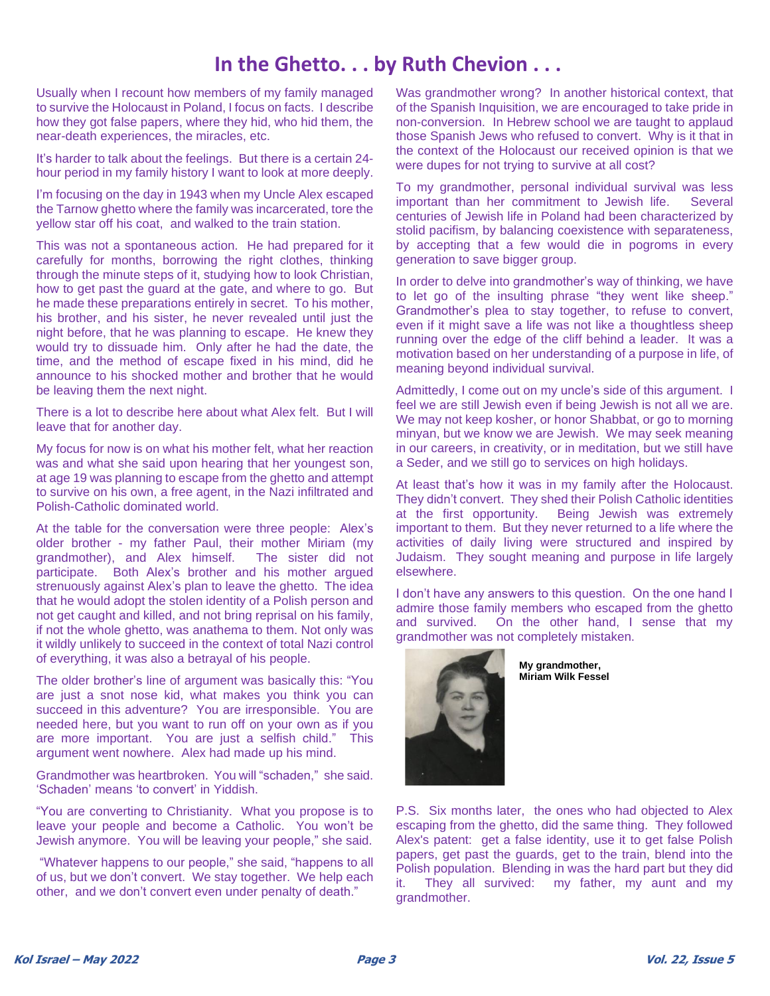# **In the Ghetto. . . by Ruth Chevion . . .**

Usually when I recount how members of my family managed to survive the Holocaust in Poland, I focus on facts. I describe how they got false papers, where they hid, who hid them, the near-death experiences, the miracles, etc.

It's harder to talk about the feelings. But there is a certain 24 hour period in my family history I want to look at more deeply.

I'm focusing on the day in 1943 when my Uncle Alex escaped the Tarnow ghetto where the family was incarcerated, tore the yellow star off his coat, and walked to the train station.

This was not a spontaneous action. He had prepared for it carefully for months, borrowing the right clothes, thinking through the minute steps of it, studying how to look Christian, how to get past the guard at the gate, and where to go. But he made these preparations entirely in secret. To his mother, his brother, and his sister, he never revealed until just the night before, that he was planning to escape. He knew they would try to dissuade him. Only after he had the date, the time, and the method of escape fixed in his mind, did he announce to his shocked mother and brother that he would be leaving them the next night.

There is a lot to describe here about what Alex felt. But I will leave that for another day.

My focus for now is on what his mother felt, what her reaction was and what she said upon hearing that her youngest son, at age 19 was planning to escape from the ghetto and attempt to survive on his own, a free agent, in the Nazi infiltrated and Polish-Catholic dominated world.

At the table for the conversation were three people: Alex's older brother - my father Paul, their mother Miriam (my grandmother), and Alex himself. The sister did not participate. Both Alex's brother and his mother argued strenuously against Alex's plan to leave the ghetto. The idea that he would adopt the stolen identity of a Polish person and not get caught and killed, and not bring reprisal on his family, if not the whole ghetto, was anathema to them. Not only was it wildly unlikely to succeed in the context of total Nazi control of everything, it was also a betrayal of his people.

The older brother's line of argument was basically this: "You are just a snot nose kid, what makes you think you can succeed in this adventure? You are irresponsible. You are needed here, but you want to run off on your own as if you are more important. You are just a selfish child." This argument went nowhere. Alex had made up his mind.

Grandmother was heartbroken. You will "schaden," she said. 'Schaden' means 'to convert' in Yiddish.

"You are converting to Christianity. What you propose is to leave your people and become a Catholic. You won't be Jewish anymore. You will be leaving your people," she said.

"Whatever happens to our people," she said, "happens to all of us, but we don't convert. We stay together. We help each other, and we don't convert even under penalty of death."

Was grandmother wrong? In another historical context, that of the Spanish Inquisition, we are encouraged to take pride in non-conversion. In Hebrew school we are taught to applaud those Spanish Jews who refused to convert. Why is it that in the context of the Holocaust our received opinion is that we were dupes for not trying to survive at all cost?

To my grandmother, personal individual survival was less important than her commitment to Jewish life. Several centuries of Jewish life in Poland had been characterized by stolid pacifism, by balancing coexistence with separateness, by accepting that a few would die in pogroms in every generation to save bigger group.

In order to delve into grandmother's way of thinking, we have to let go of the insulting phrase "they went like sheep." Grandmother's plea to stay together, to refuse to convert, even if it might save a life was not like a thoughtless sheep running over the edge of the cliff behind a leader. It was a motivation based on her understanding of a purpose in life, of meaning beyond individual survival.

Admittedly, I come out on my uncle's side of this argument. I feel we are still Jewish even if being Jewish is not all we are. We may not keep kosher, or honor Shabbat, or go to morning minyan, but we know we are Jewish. We may seek meaning in our careers, in creativity, or in meditation, but we still have a Seder, and we still go to services on high holidays.

At least that's how it was in my family after the Holocaust. They didn't convert. They shed their Polish Catholic identities at the first opportunity. Being Jewish was extremely important to them. But they never returned to a life where the activities of daily living were structured and inspired by Judaism. They sought meaning and purpose in life largely elsewhere.

I don't have any answers to this question. On the one hand I admire those family members who escaped from the ghetto and survived. On the other hand, I sense that my grandmother was not completely mistaken.



**My grandmother, Miriam Wilk Fessel**

P.S. Six months later, the ones who had objected to Alex escaping from the ghetto, did the same thing. They followed Alex's patent: get a false identity, use it to get false Polish papers, get past the guards, get to the train, blend into the Polish population. Blending in was the hard part but they did it. They all survived: my father, my aunt and my grandmother.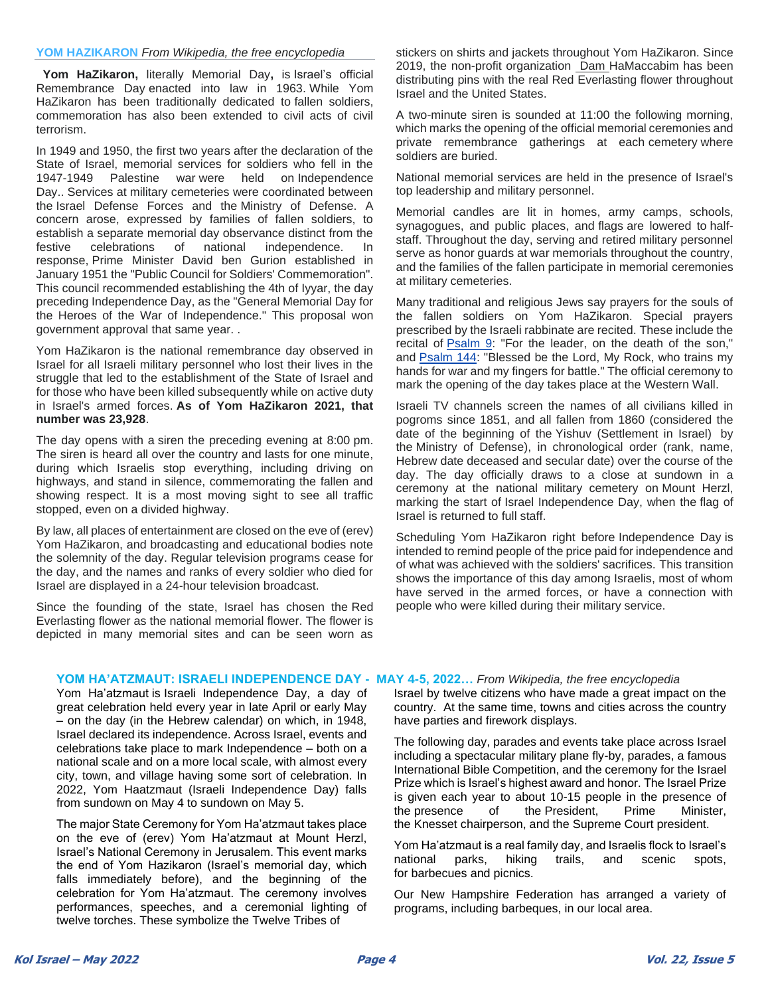#### **YOM HAZIKARON** *From Wikipedia, the free encyclopedia*

**Yom HaZikaron,** literally Memorial Day**,** is Israel's official Remembrance Day enacted into law in 1963. While Yom HaZikaron has been traditionally dedicated to fallen soldiers, commemoration has also been extended to civil acts of civil terrorism.

In 1949 and 1950, the first two years after the declaration of the State of Israel, memorial services for soldiers who fell in the 1947-1949 Palestine war were held on Independence Day.. Services at military cemeteries were coordinated between the Israel Defense Forces and the Ministry of Defense. A concern arose, expressed by families of fallen soldiers, to establish a separate memorial day observance distinct from the festive celebrations of national independence. In response, Prime Minister David ben Gurion established in January 1951 the "Public Council for Soldiers' Commemoration". This council recommended establishing the 4th of Iyyar, the day preceding Independence Day, as the "General Memorial Day for the Heroes of the War of Independence." This proposal won government approval that same year. .

Yom HaZikaron is the national remembrance day observed in Israel for all Israeli military personnel who lost their lives in the struggle that led to the establishment of the State of Israel and for those who have been killed subsequently while on active duty in Israel's armed forces. **As of Yom HaZikaron 2021, that number was 23,928**.

The day opens with a siren the preceding evening at 8:00 pm. The siren is heard all over the country and lasts for one minute, during which Israelis stop everything, including driving on highways, and stand in silence, commemorating the fallen and showing respect. It is a most moving sight to see all traffic stopped, even on a divided highway.

By law, all places of entertainment are closed on the eve of (erev) Yom HaZikaron, and broadcasting and educational bodies note the solemnity of the day. Regular television programs cease for the day, and the names and ranks of every soldier who died for Israel are displayed in a 24-hour television broadcast.

Since the founding of the state, Israel has chosen the Red Everlasting flower as the national memorial flower. The flower is depicted in many memorial sites and can be seen worn as

stickers on shirts and jackets throughout Yom HaZikaron. Since 2019, the non-profit organization Dam HaMaccabim has been distributing pins with the real Red Everlasting flower throughout Israel and the United States.

A two-minute siren is sounded at 11:00 the following morning, which marks the opening of the official memorial ceremonies and private remembrance gatherings at each cemetery where soldiers are buried.

National memorial services are held in the presence of Israel's top leadership and military personnel.

Memorial candles are lit in homes, army camps, schools, synagogues, and public places, and flags are lowered to halfstaff. Throughout the day, serving and retired military personnel serve as honor guards at war memorials throughout the country, and the families of the fallen participate in memorial ceremonies at military cemeteries.

Many traditional and religious Jews say prayers for the souls of the fallen soldiers on Yom HaZikaron. Special prayers prescribed by the Israeli rabbinate are recited. These include the recital of [Psalm 9:](https://en.wikipedia.org/wiki/Psalm_9) "For the leader, on the death of the son," and [Psalm 144:](https://en.wikipedia.org/wiki/Psalm_144) "Blessed be the Lord, My Rock, who trains my hands for war and my fingers for battle." The official ceremony to mark the opening of the day takes place at the Western Wall.

Israeli TV channels screen the names of all civilians killed in pogroms since 1851, and all fallen from 1860 (considered the date of the beginning of the Yishuv (Settlement in Israel) by the Ministry of Defense), in chronological order (rank, name, Hebrew date deceased and secular date) over the course of the day. The day officially draws to a close at sundown in a ceremony at the national military cemetery on Mount Herzl, marking the start of Israel Independence Day, when the flag of Israel is returned to full staff.

Scheduling Yom HaZikaron right before Independence Day is intended to remind people of the price paid for independence and of what was achieved with the soldiers' sacrifices. This transition shows the importance of this day among Israelis, most of whom have served in the armed forces, or have a connection with people who were killed during their military service.

#### **YOM HA'ATZMAUT: ISRAELI INDEPENDENCE DAY - MAY 4-5, 2022…** *From Wikipedia, the free encyclopedia*

Yom Ha'atzmaut is Israeli Independence Day, a day of great celebration held every year in late April or early May – on the day (in the Hebrew calendar) on which, in 1948, Israel declared its independence. Across Israel, events and celebrations take place to mark Independence – both on a national scale and on a more local scale, with almost every city, town, and village having some sort of celebration. In 2022, Yom Haatzmaut (Israeli Independence Day) falls from sundown on May 4 to sundown on May 5.

The major State Ceremony for Yom Ha'atzmaut takes place on the eve of (erev) Yom Ha'atzmaut at Mount Herzl, Israel's National Ceremony in Jerusalem. This event marks the end of Yom Hazikaron (Israel's memorial day, which falls immediately before), and the beginning of the celebration for Yom Ha'atzmaut. The ceremony involves performances, speeches, and a ceremonial lighting of twelve torches. These symbolize the Twelve Tribes of

Israel by twelve citizens who have made a great impact on the country. At the same time, towns and cities across the country have parties and firework displays.

The following day, parades and events take place across Israel including a spectacular military plane fly-by, parades, a famous International Bible Competition, and the ceremony for the Israel Prize which is Israel's highest award and honor. The Israel Prize is given each year to about 10-15 people in the presence of the presence of the President, Prime Minister, the Knesset chairperson, and the Supreme Court president.

Yom Ha'atzmaut is a real family day, and Israelis flock to Israel's national parks, hiking trails, and scenic spots, for barbecues and picnics.

Our New Hampshire Federation has arranged a variety of programs, including barbeques, in our local area.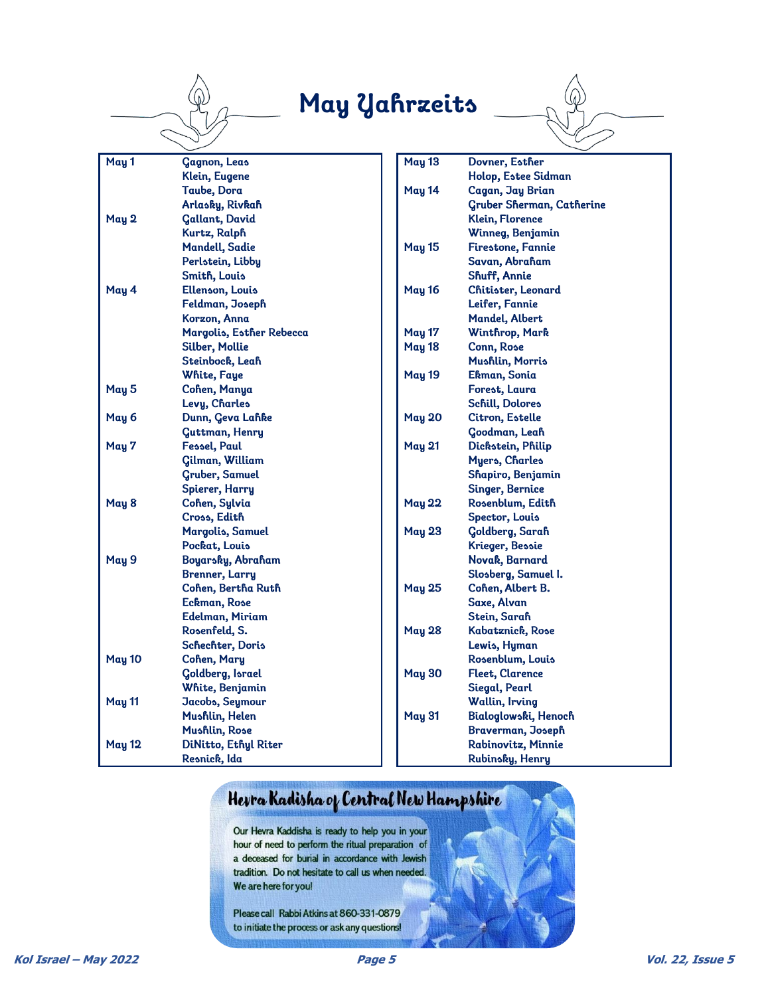

# May Yahrzeits



## Herra Kadisha of Central New Hampshire

Our Hevra Kaddisha is ready to help you in your hour of need to perform the ritual preparation of a deceased for burial in accordance with Jewish tradition. Do not hesitate to call us when needed. We are here for you!

Please call Rabbi Atkins at 860-331-0879 to initiate the process or ask any questions!